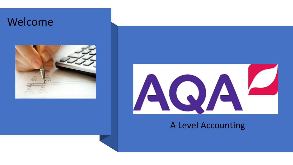### Welcome





#### A Level Accounting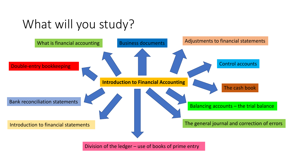## What will you study?



Division of the ledger – use of books of prime entry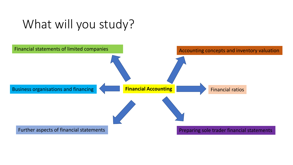### What will you study?

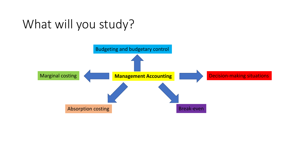## What will you study?

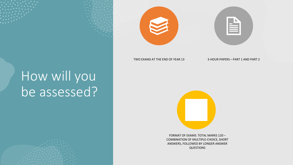# How will you be assessed?





TWO EXAMS AT THE END OF YEAR 13 3-HOUR PAPERS - PART 1 AND PART 2



FORMAT OF EXAMS: TOTAL MARKS 120 – COMBINATION OF MULTIPLE-CHOICE, SHORT ANSWERS, FOLLOWED BY LONGER ANSWER QUESTIONS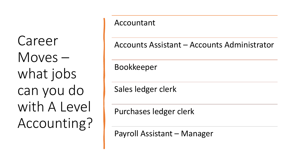Career Moves – what jobs can you do with A Level Accounting?

#### Accountant

Accounts Assistant – Accounts Administrator

Bookkeeper

Sales ledger clerk

Purchases ledger clerk

Payroll Assistant – Manager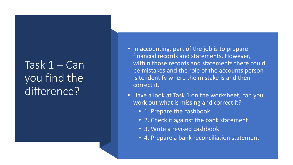### Task 1 – Can you find the difference?

- In accounting, part of the job is to prepare financial records and statements. However, within those records and statements there could be mistakes and the role of the accounts person is to identify where the mistake is and then correct it.
- Have a look at Task 1 on the worksheet, can you work out what is missing and correct it?
	- 1. Prepare the cashbook
	- 2. Check it against the bank statement
	- 3. Write a revised cashbook
	- 4. Prepare a bank reconciliation statement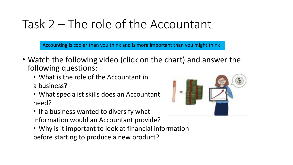## Task 2 – The role of the Accountant

Accounting is cooler than you think and is more important than you might think

- Watch the following video (click on the chart) and answer the following questions:
	- What is the role of the Accountant in a business?
	- What specialist skills does an Accountant need?
	- If a business wanted to diversify what information would an Accountant provide?
	- Why is it important to look at financial information before starting to produce a new product?

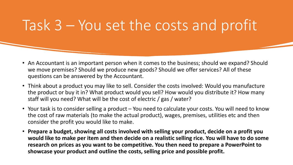# Task 3 – You set the costs and profit

- An Accountant is an important person when it comes to the business; should we expand? Should we move premises? Should we produce new goods? Should we offer services? All of these questions can be answered by the Accountant.
- Think about a product you may like to sell. Consider the costs involved: Would you manufacture the product or buy it in? What product would you sell? How would you distribute it? How many staff will you need? What will be the cost of electric / gas / water?
- Your task is to consider selling a product You need to calculate your costs. You will need to know the cost of raw materials (to make the actual product), wages, premises, utilities etc and then consider the profit you would like to make.
- **Prepare a budget, showing all costs involved with selling your product, decide on a profit you would like to make per item and then decide on a realistic selling rice. You will have to do some research on prices as you want to be competitive. You then need to prepare a PowerPoint to showcase your product and outline the costs, selling price and possible profit.**